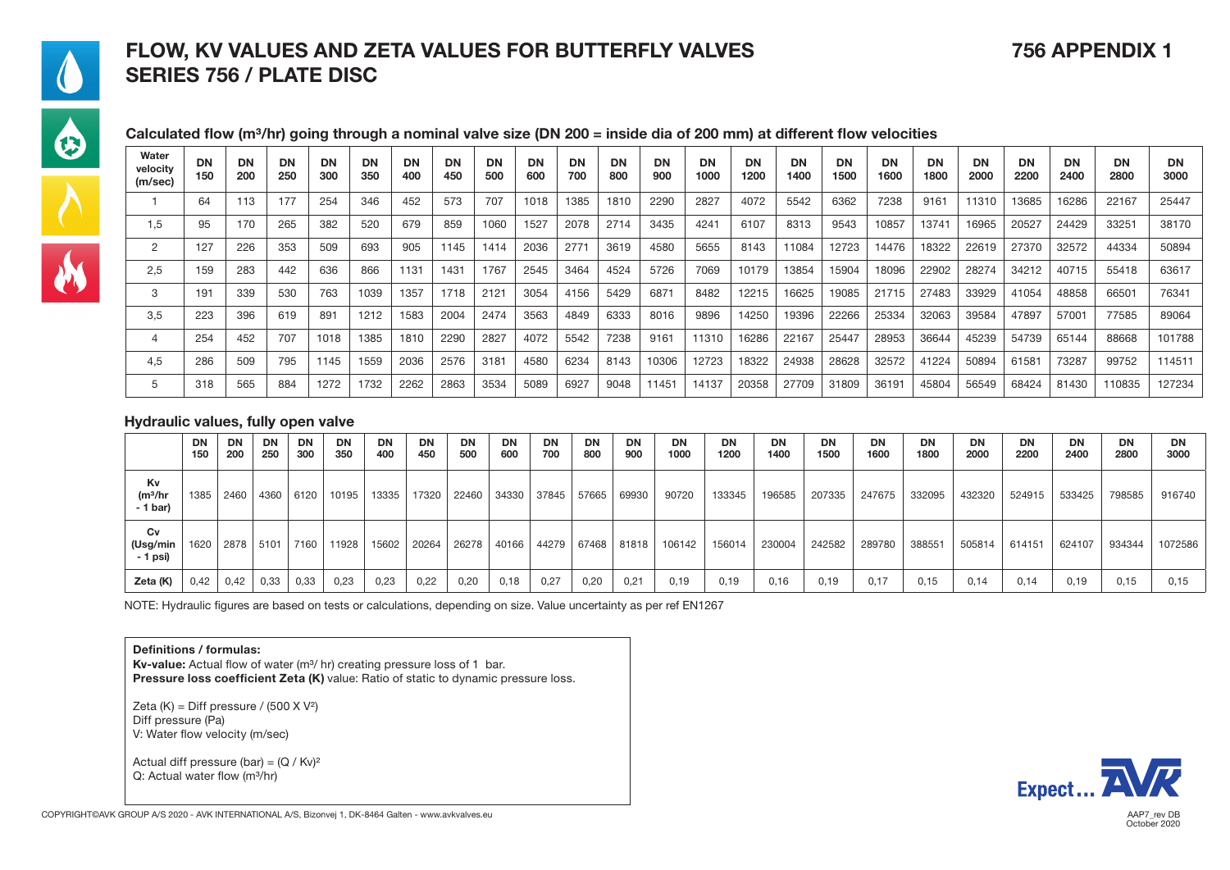### FLOW, KV VALUES AND ZETA VALUES FOR BUTTERFLY VALVES 756 APPENDIX 1 SERIES 756 / PLATE DISC



 $\frac{\lambda}{M}$ 

#### Calculated flow (m<sup>3</sup>/hr) going through a nominal valve size (DN 200 = inside dia of 200 mm) at different flow velocities

| Water<br>velocity<br>(m/sec) | <b>DN</b><br>150 | <b>DN</b><br>200 | <b>DN</b><br>250 | DN<br>300 | <b>DN</b><br>350 | DN<br>400 | <b>DN</b><br>450 | DN<br>500 | DN<br>600 | DN<br>700 | DN<br>800 | <b>DN</b><br>900 | <b>DN</b><br>1000 | DN<br>1200 | <b>DN</b><br>1400 | DN<br>1500 | <b>DN</b><br>1600 | <b>DN</b><br>1800 | DN<br>2000 | <b>DN</b><br>2200 | <b>DN</b><br>2400 | <b>DN</b><br>2800 | <b>DN</b><br>3000 |
|------------------------------|------------------|------------------|------------------|-----------|------------------|-----------|------------------|-----------|-----------|-----------|-----------|------------------|-------------------|------------|-------------------|------------|-------------------|-------------------|------------|-------------------|-------------------|-------------------|-------------------|
|                              | 64               | 113              | 177              | 254       | 346              | 452       | 573              | 707       | 1018      | 1385      | 1810      | 2290             | 2827              | 4072       | 5542              | 6362       | 7238              | 9161              | 11310      | 13685             | 16286             | 22167             | 25447             |
| 1,5                          | 95               | 170              | 265              | 382       | 520              | 679       | 859              | 1060      | 1527      | 2078      | 2714      | 3435             | 4241              | 6107       | 8313              | 9543       | 10857             | 13741             | 16965      | 20527             | 24429             | 33251             | 38170             |
| 2                            | 127              | 226              | 353              | 509       | 693              | 905       | 1145             | 1414      | 2036      | 2771      | 3619      | 4580             | 5655              | 8143       | 11084             | 12723      | 14476             | 18322             | 22619      | 27370             | 32572             | 44334             | 50894             |
| 2,5                          | 159              | 283              | 442              | 636       | 866              | 1131      | 1431             | 1767      | 2545      | 3464      | 4524      | 5726             | 7069              | 10179      | 13854             | 15904      | 18096             | 22902             | 28274      | 34212             | 40715             | 55418             | 63617             |
| 3                            | 191              | 339              | 530              | 763       | 1039             | 1357      | 1718             | 2121      | 3054      | 4156      | 5429      | 6871             | 8482              | 12215      | 16625             | 19085      | 21715             | 27483             | 33929      | 41054             | 48858             | 66501             | 76341             |
| 3,5                          | 223              | 396              | 619              | 891       | 1212             | 1583      | 2004             | 2474      | 3563      | 4849      | 6333      | 8016             | 9896              | 14250      | 19396             | 22266      | 25334             | 32063             | 39584      | 47897             | 57001             | 77585             | 89064             |
|                              | 254              | 452              | 707              | 1018      | 1385             | 1810      | 2290             | 2827      | 4072      | 5542      | 7238      | 9161             | 11310             | 16286      | 22167             | 25447      | 28953             | 36644             | 45239      | 54739             | 65144             | 88668             | 101788            |
| 4.5                          | 286              | 509              | 795              | 1145      | 1559             | 2036      | 2576             | 3181      | 4580      | 6234      | 8143      | 10306            | 12723             | 18322      | 24938             | 28628      | 32572             | 41224             | 50894      | 61581             | 73287             | 99752             | 114511            |
|                              | 318              | 565              | 884              | 1272      | 1732             | 2262      | 2863             | 3534      | 5089      | 6927      | 9048      | 11451            | 14137             | 20358      | 27709             | 31809      | 36191             | 45804             | 56549      | 68424             | 81430             | 110835            | 127234            |

#### Hydraulic values, fully open valve

|                            | DN<br>150 | <b>DN</b><br>200 | <b>DN</b><br>250 | DN<br>300 | <b>DN</b><br>350 | <b>DN</b><br>400 | DN<br>450 | <b>DN</b><br>500 | DN<br>600 | <b>DN</b><br>700 | DN<br>800 | <b>DN</b><br>900 | DN<br>1000 | <b>DN</b><br>1200 | <b>DN</b><br>1400 | DN<br>1500 | <b>DN</b><br>1600 | DN<br>1800 | <b>DN</b><br>2000 | DN<br>2200 | <b>DN</b><br>2400 | <b>DN</b><br>2800 | DN<br>3000 |
|----------------------------|-----------|------------------|------------------|-----------|------------------|------------------|-----------|------------------|-----------|------------------|-----------|------------------|------------|-------------------|-------------------|------------|-------------------|------------|-------------------|------------|-------------------|-------------------|------------|
| Kv<br>(m3/hr<br>$-1$ bar)  | 1385      | 2460             | 4360             | 6120      | 10195            | 13335            | 17320     | 22460            | 34330     | 37845            | 57665     | 69930            | 90720      | 133345            | 196585            | 207335     | 247675            | 332095     | 432320            | 524915     | 533425            | 798585            | 916740     |
| Cv<br>(Usg/min<br>- 1 psi) | 1620      | 2878             | 5101             | 7160      | 11928            | 15602            | 20264     | 26278            | 40166     | 44279            | 67468     | 81818            | 106142     | 156014            | 230004            | 242582     | 289780            | 388551     | 505814            | 614151     | 624107            | 934344            | 1072586    |
| Zeta (K)                   | 0,42      | 0,42             | 0,33             | 0,33      | 0,23             | 0,23             | 0,22      | 0,20             | 0,18      | 0,27             | 0,20      | 0.21             | 0,19       | 0, 19             | 0,16              | 0,19       | 0.17              | 0,15       | 0.14              | 0,14       | 0,19              | 0,15              | 0,15       |

NOTE: Hydraulic figures are based on tests or calculations, depending on size. Value uncertainty as per ref EN1267

#### Definitions / formulas:

Kv-value: Actual flow of water (m<sup>3</sup>/ hr) creating pressure loss of 1 bar. Pressure loss coefficient Zeta (K) value: Ratio of static to dynamic pressure loss.

Zeta  $(K)$  = Diff pressure / (500 X V<sup>2</sup>) Diff pressure (Pa) V: Water flow velocity (m/sec)

Actual diff pressure (bar) =  $(Q / Kv)^2$ Q: Actual water flow (m<sup>3</sup>/hr)

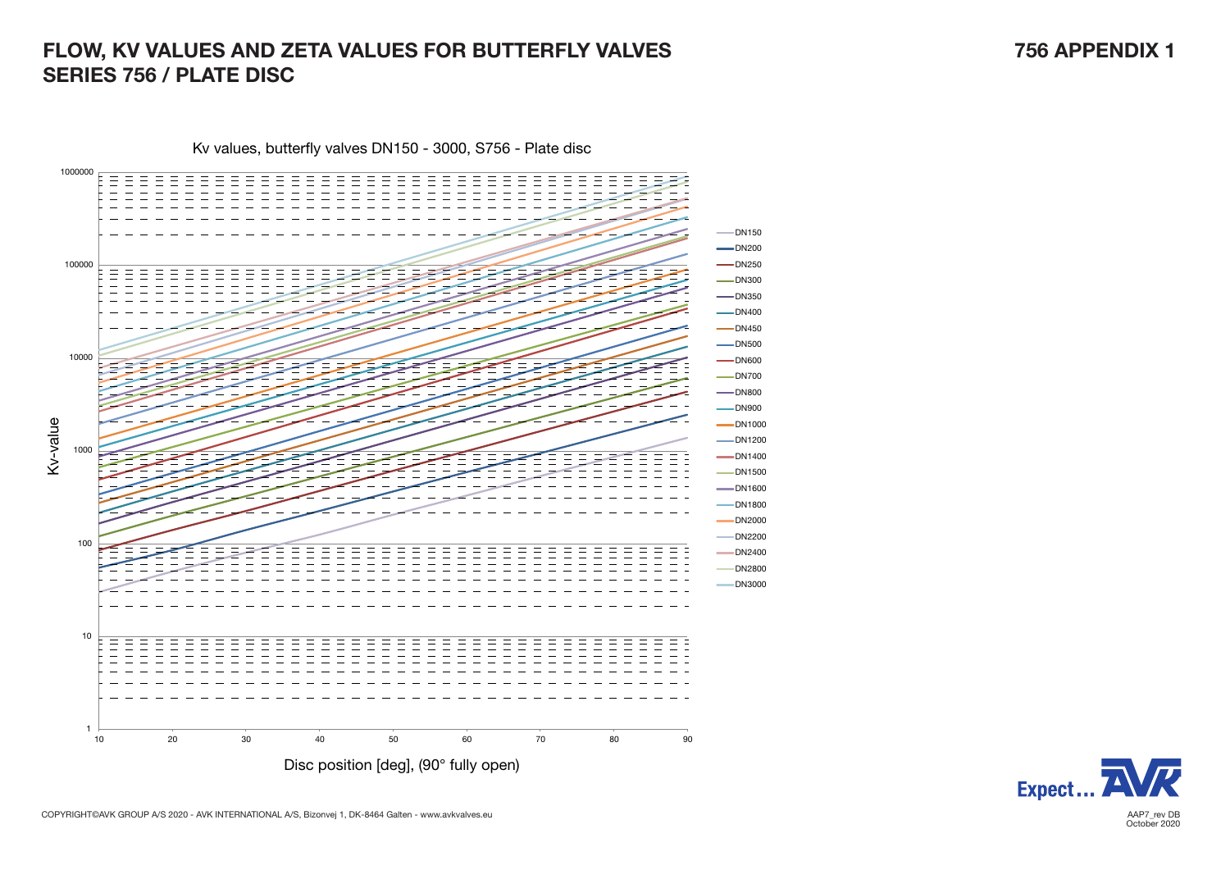## FLOW, KV VALUES AND ZETA VALUES FOR BUTTERFLY VALVES 756 APPENDIX 1 SERIES 756 / PLATE DISC

Kv values, butterfly valves DN150 - 3000, S756 - Plate disc





COPYRIGHT©AVK GROUP A/S 2020 - AVK INTERNATIONAL A/S, Bizonvej 1, DK-8464 Galten - www.avkvalves.eu<br>October 2020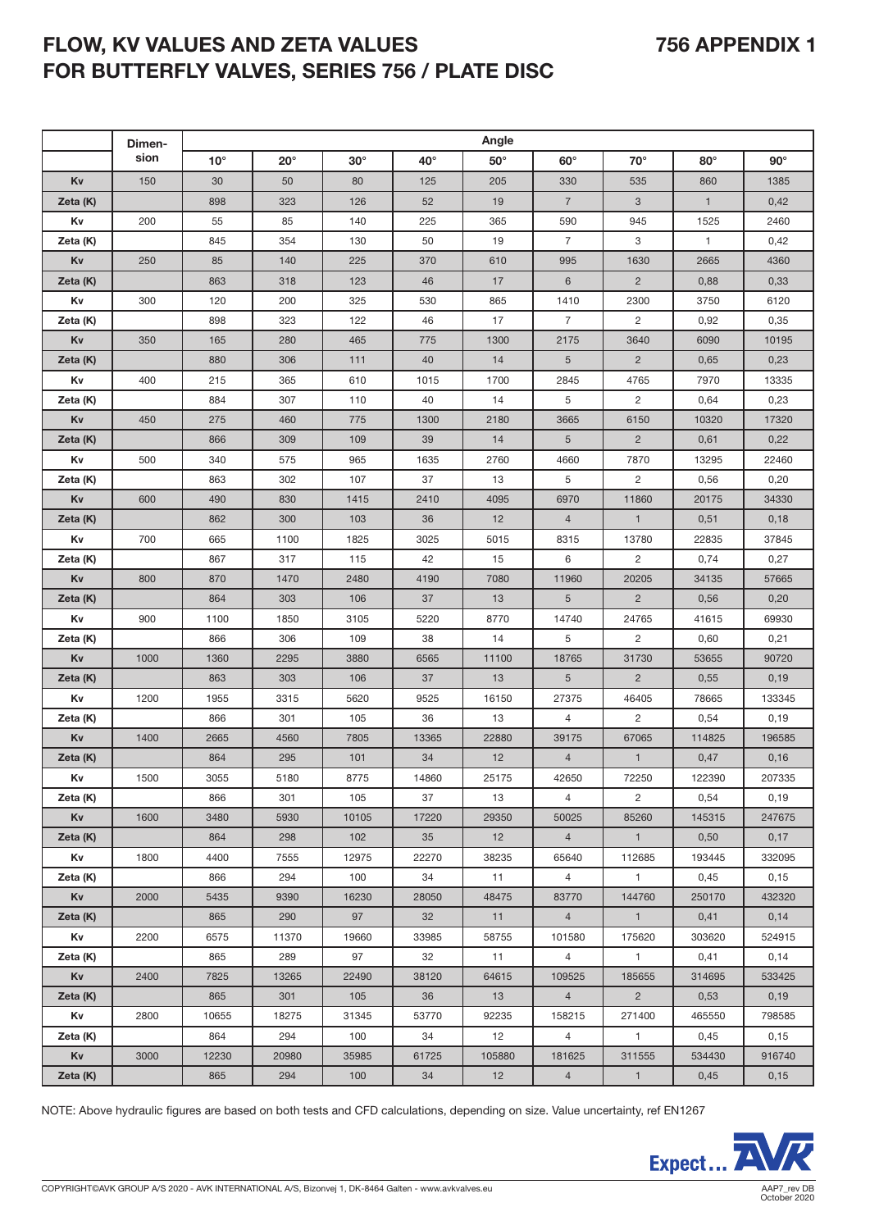# FLOW, KV VALUES AND ZETA VALUES 756 APPENDIX 1 FOR BUTTERFLY VALVES, SERIES 756 / PLATE DISC

|          | Dimen- | Angle        |              |            |              |            |                 |                |              |            |  |  |  |  |  |
|----------|--------|--------------|--------------|------------|--------------|------------|-----------------|----------------|--------------|------------|--|--|--|--|--|
|          | sion   | $10^{\circ}$ | $20^{\circ}$ | $30^\circ$ | $40^{\circ}$ | $50^\circ$ | $60^\circ$      | $70^\circ$     | $80^\circ$   | $90^\circ$ |  |  |  |  |  |
| Kv       | 150    | 30           | 50           | 80         | 125          | 205        | 330             | 535            | 860          | 1385       |  |  |  |  |  |
| Zeta (K) |        | 898          | 323          | 126        | 52           | 19         | $\overline{7}$  | 3              | $\mathbf{1}$ | 0,42       |  |  |  |  |  |
| Kv       | 200    | 55           | 85           | 140        | 225          | 365        | 590             | 945            | 1525         | 2460       |  |  |  |  |  |
| Zeta (K) |        | 845          | 354          | 130        | 50           | 19         | $\overline{7}$  | 3              | $\mathbf{1}$ | 0,42       |  |  |  |  |  |
| Kv       | 250    | 85           | 140          | 225        | 370          | 610        | 995             | 1630           | 2665         | 4360       |  |  |  |  |  |
| Zeta (K) |        | 863          | 318          | 123        | 46           | 17         | 6               | $\overline{2}$ | 0,88         | 0,33       |  |  |  |  |  |
| Κv       | 300    | 120          | 200          | 325        | 530          | 865        | 1410            | 2300           | 3750         | 6120       |  |  |  |  |  |
| Zeta (K) |        | 898          | 323          | 122        | 46           | 17         | $\overline{7}$  | $\overline{2}$ | 0,92         | 0,35       |  |  |  |  |  |
| Κv       | 350    | 165          | 280          | 465        | 775          | 1300       | 2175            | 3640           | 6090         | 10195      |  |  |  |  |  |
| Zeta (K) |        | 880          | 306          | 111        | 40           | 14         | 5               | $\overline{2}$ | 0,65         | 0,23       |  |  |  |  |  |
| Kv       | 400    | 215          | 365          | 610        | 1015         | 1700       | 2845            | 4765           | 7970         | 13335      |  |  |  |  |  |
| Zeta (K) |        | 884          | 307          | 110        | 40           | 14         | 5               | $\overline{2}$ | 0,64         | 0,23       |  |  |  |  |  |
| Kv       | 450    | 275          | 460          | 775        | 1300         | 2180       | 3665            | 6150           | 10320        | 17320      |  |  |  |  |  |
| Zeta (K) |        | 866          | 309          | 109        | 39           | 14         | $5\overline{)}$ | $\overline{2}$ | 0,61         | 0,22       |  |  |  |  |  |
| Κv       | 500    | 340          | 575          | 965        | 1635         | 2760       | 4660            | 7870           | 13295        | 22460      |  |  |  |  |  |
| Zeta (K) |        | 863          | 302          | 107        | 37           | 13         | 5               | $\mathbf{2}$   | 0,56         | 0,20       |  |  |  |  |  |
| Kv       | 600    | 490          | 830          | 1415       | 2410         | 4095       | 6970            | 11860          | 20175        | 34330      |  |  |  |  |  |
| Zeta (K) |        | 862          | 300          | 103        | 36           | 12         | $\overline{4}$  | $\mathbf{1}$   | 0,51         | 0,18       |  |  |  |  |  |
| Kv       | 700    | 665          | 1100         | 1825       | 3025         | 5015       | 8315            | 13780          | 22835        | 37845      |  |  |  |  |  |
| Zeta (K) |        | 867          | 317          | 115        | 42           | 15         | 6               | $\mathbf{2}$   | 0,74         | 0,27       |  |  |  |  |  |
| Kv       | 800    | 870          | 1470         | 2480       | 4190         | 7080       | 11960           | 20205          | 34135        | 57665      |  |  |  |  |  |
| Zeta (K) |        | 864          | 303          | 106        | 37           | 13         | $5\overline{)}$ | $\overline{2}$ | 0,56         | 0,20       |  |  |  |  |  |
| Kv       | 900    | 1100         | 1850         | 3105       | 5220         | 8770       | 14740           | 24765          | 41615        | 69930      |  |  |  |  |  |
| Zeta (K) |        | 866          | 306          | 109        | 38           | 14         | 5               | $\mathbf{2}$   | 0,60         | 0,21       |  |  |  |  |  |
| Kv       | 1000   | 1360         | 2295         | 3880       | 6565         | 11100      | 18765           | 31730          | 53655        | 90720      |  |  |  |  |  |
| Zeta (K) |        | 863          | 303          | 106        | 37           | 13         | 5               | $\overline{2}$ | 0,55         | 0,19       |  |  |  |  |  |
| Κv       | 1200   | 1955         | 3315         | 5620       | 9525         | 16150      | 27375           | 46405          | 78665        | 133345     |  |  |  |  |  |
| Zeta (K) |        | 866          | 301          | 105        | 36           | 13         | $\overline{4}$  | $\overline{2}$ | 0,54         | 0,19       |  |  |  |  |  |
| Kv       | 1400   | 2665         | 4560         | 7805       | 13365        | 22880      | 39175           | 67065          | 114825       | 196585     |  |  |  |  |  |
| Zeta (K) |        | 864          | 295          | 101        | 34           | 12         | $\overline{4}$  | $\mathbf{1}$   | 0,47         | 0,16       |  |  |  |  |  |
| Κv       | 1500   | 3055         | 5180         | 8775       | 14860        | 25175      | 42650           | 72250          | 122390       | 207335     |  |  |  |  |  |
| Zeta (K) |        | 866          | 301          | 105        | 37           | 13         | $\overline{4}$  | $\overline{2}$ | 0,54         | 0,19       |  |  |  |  |  |
| Κv       | 1600   | 3480         | 5930         | 10105      | 17220        | 29350      | 50025           | 85260          | 145315       | 247675     |  |  |  |  |  |
| Zeta (K) |        | 864          | 298          | 102        | 35           | 12         | $\overline{4}$  | $\mathbf{1}$   | 0,50         | 0,17       |  |  |  |  |  |
| Κv       | 1800   | 4400         | 7555         | 12975      | 22270        | 38235      | 65640           | 112685         | 193445       | 332095     |  |  |  |  |  |
| Zeta (K) |        | 866          | 294          | 100        | 34           | 11         | $\overline{4}$  | $\mathbf{1}$   | 0,45         | 0,15       |  |  |  |  |  |
| Κv       | 2000   | 5435         | 9390         | 16230      | 28050        | 48475      | 83770           | 144760         | 250170       | 432320     |  |  |  |  |  |
| Zeta (K) |        | 865          | 290          | 97         | 32           | 11         | 4               | $\overline{1}$ | 0,41         | 0,14       |  |  |  |  |  |
| Κv       | 2200   | 6575         | 11370        | 19660      | 33985        | 58755      | 101580          | 175620         | 303620       | 524915     |  |  |  |  |  |
| Zeta (K) |        | 865          | 289          | 97         | 32           | 11         | $\overline{4}$  | $\mathbf{1}$   | 0,41         | 0,14       |  |  |  |  |  |
| Κv       | 2400   | 7825         | 13265        | 22490      | 38120        | 64615      | 109525          | 185655         | 314695       | 533425     |  |  |  |  |  |
| Zeta (K) |        | 865          | 301          | 105        | 36           | 13         | $\overline{4}$  | $2^{\circ}$    | 0,53         | 0,19       |  |  |  |  |  |
| Κv       | 2800   | 10655        | 18275        | 31345      | 53770        | 92235      | 158215          | 271400         | 465550       | 798585     |  |  |  |  |  |
| Zeta (K) |        | 864          | 294          | 100        | 34           | 12         | $\overline{4}$  | $\mathbf{1}$   | 0,45         | 0,15       |  |  |  |  |  |
| Κv       | 3000   | 12230        | 20980        | 35985      | 61725        | 105880     | 181625          | 311555         | 534430       | 916740     |  |  |  |  |  |
| Zeta (K) |        | 865          | 294          | 100        | 34           | 12         | $\overline{4}$  | $\mathbf{1}$   | 0,45         | 0,15       |  |  |  |  |  |

NOTE: Above hydraulic figures are based on both tests and CFD calculations, depending on size. Value uncertainty, ref EN1267

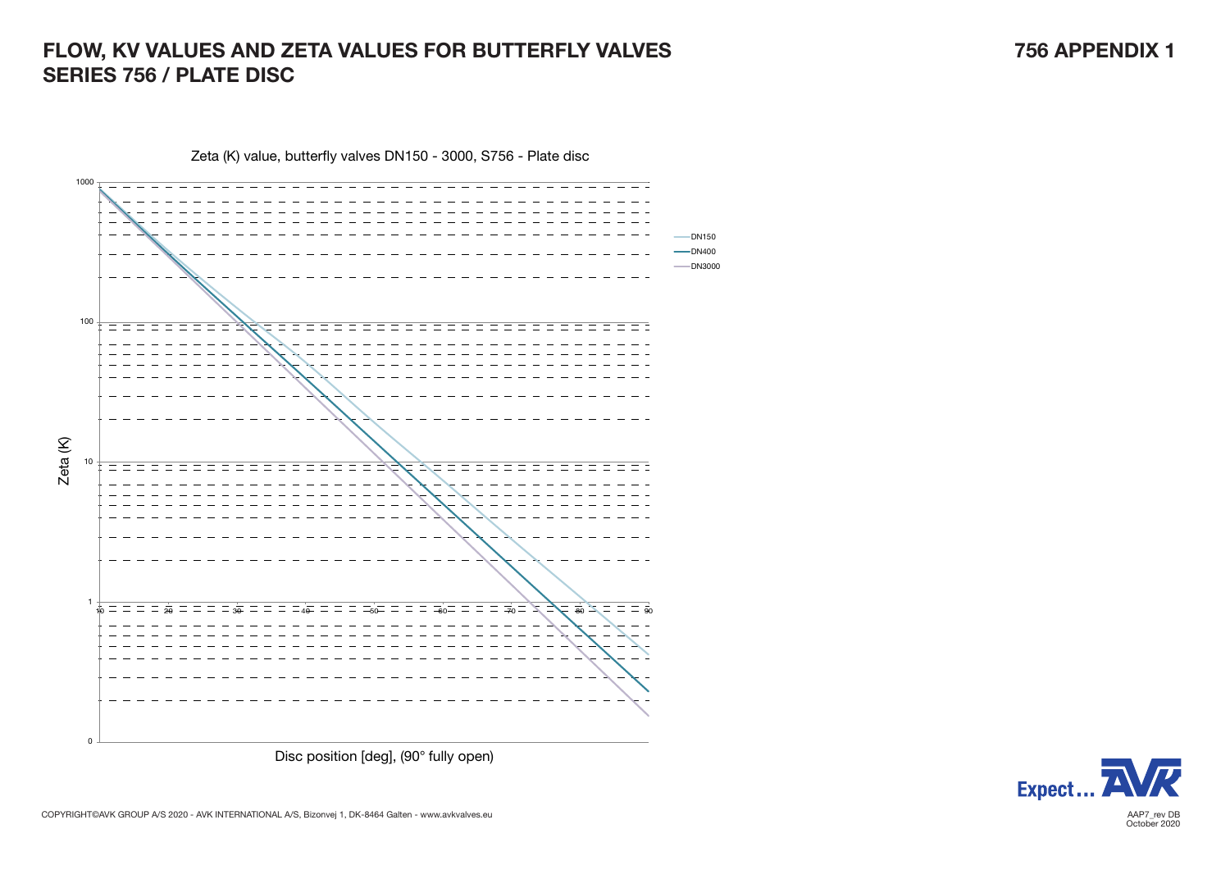# FLOW, KV VALUES AND ZETA VALUES FOR BUTTERFLY VALVES **FOR SERVICE SERVICES** 756 APPENDIX 1 SERIES 756 / PLATE DISC



Zeta (K) value, butterfly valves DN150 - 3000, S756 - Plate disc



COPYRIGHT©AVK GROUP A/S 2020 - AVK INTERNATIONAL A/S, Bizonvej 1, DK-8464 Galten - www.avkvalves.eu<br>October 2020